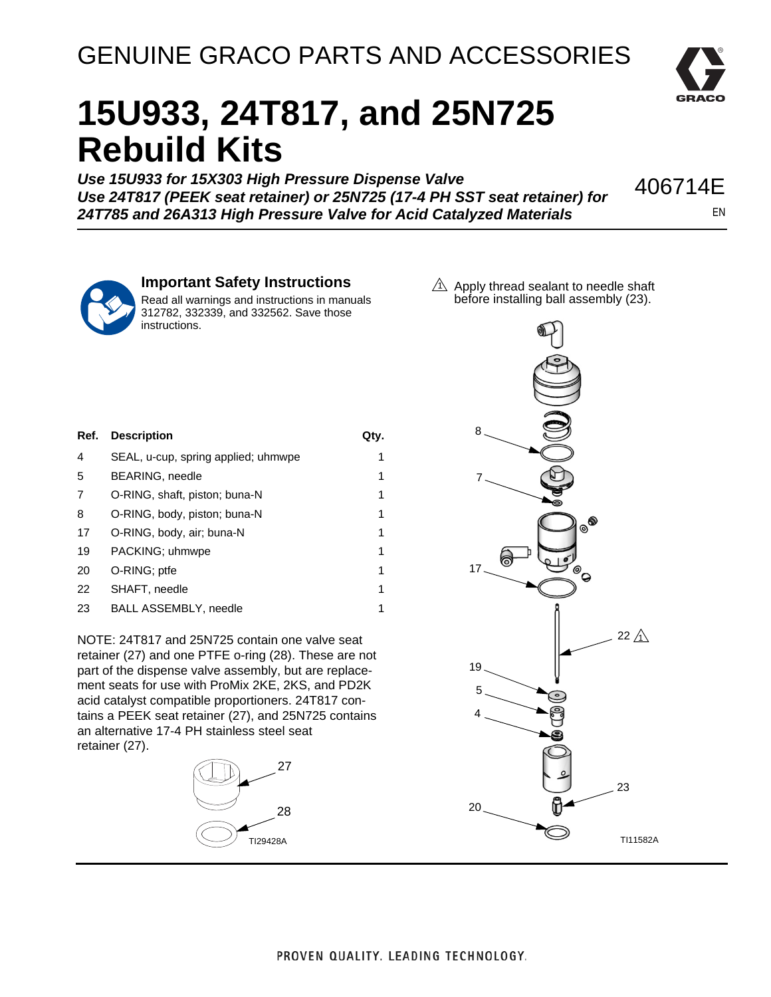## GENUINE GRACO PARTS AND ACCESSORIES



## **15U933, 24T817, and 25N725 Rebuild Kits**

*Use 15U933 for 15X303 High Pressure Dispense Valve Use 24T817 (PEEK seat retainer) or 25N725 (17-4 PH SST seat retainer) for 24T785 and 26A313 High Pressure Valve for Acid Catalyzed Materials* 



EN

## **Important Safety Instructions**

Read all warnings and instructions in manuals 312782, 332339, and 332562. Save those instructions.

 $\Lambda$  Apply thread sealant to needle shaft before installing ball assembly (23).

| Ref. | <b>Description</b>                  | Qtv. |
|------|-------------------------------------|------|
| 4    | SEAL, u-cup, spring applied; uhmwpe | 1    |
| 5    | BEARING, needle                     | 1    |
| 7    | O-RING, shaft, piston; buna-N       | 1    |
| 8    | O-RING, body, piston; buna-N        | 1    |
| 17   | O-RING, body, air; buna-N           | 1    |
| 19   | PACKING; uhmwpe                     | 1    |
| 20   | O-RING; ptfe                        | 1    |
| 22   | SHAFT, needle                       | 1    |
| 23   | <b>BALL ASSEMBLY, needle</b>        |      |

NOTE: 24T817 and 25N725 contain one valve seat retainer (27) and one PTFE o-ring (28). These are not part of the dispense valve assembly, but are replacement seats for use with ProMix 2KE, 2KS, and PD2K acid catalyst compatible proportioners. 24T817 contains a PEEK seat retainer (27), and 25N725 contains an alternative 17-4 PH stainless steel seat retainer (27).